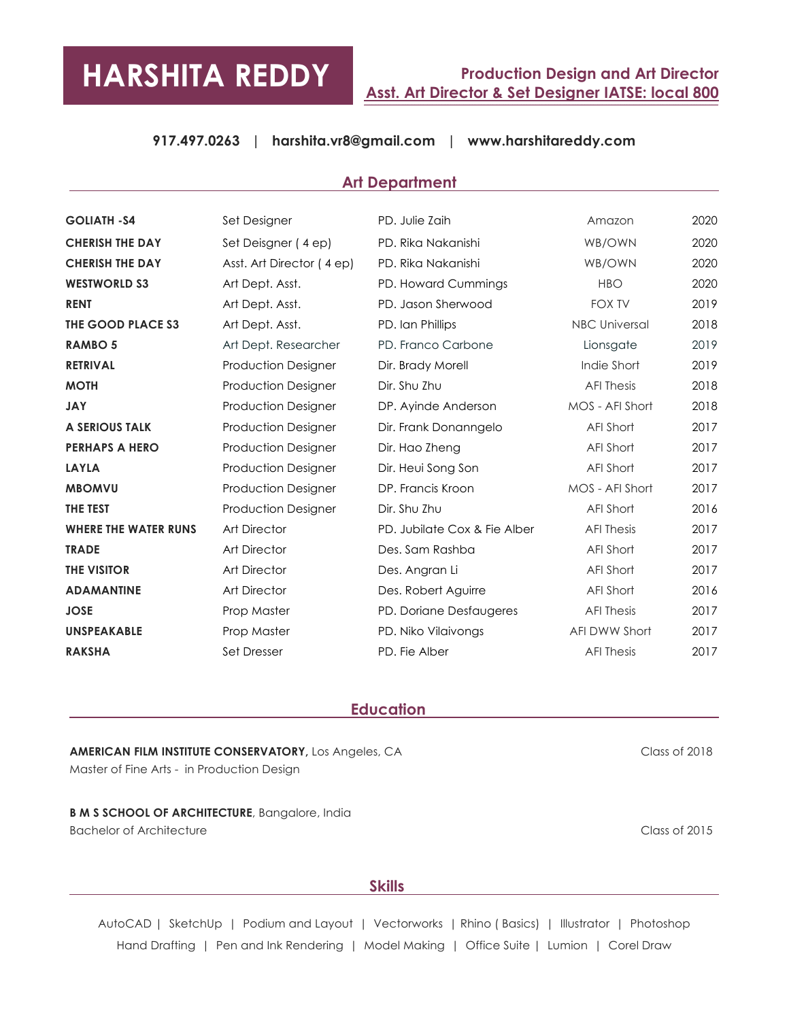# **HARSHITA REDDY**

# **Production Design and Art Director Asst. Art Director & Set Designer IATSE: local 800**

# **917.497.0263 | harshita.vr8@gmail.com | www.harshitareddy.com**

#### **Art Department**

| <b>GOLIATH -S4</b>          | Set Designer               | PD. Julie Zaih               | Amazon               | 2020 |
|-----------------------------|----------------------------|------------------------------|----------------------|------|
| <b>CHERISH THE DAY</b>      | Set Deisgner (4 ep)        | PD. Rika Nakanishi           | WB/OWN               | 2020 |
| <b>CHERISH THE DAY</b>      | Asst. Art Director (4 ep)  | PD. Rika Nakanishi           | WB/OWN               | 2020 |
| <b>WESTWORLD S3</b>         | Art Dept. Asst.            | PD. Howard Cummings          | <b>HBO</b>           | 2020 |
| <b>RENT</b>                 | Art Dept. Asst.            | PD. Jason Sherwood           | <b>FOX TV</b>        | 2019 |
| THE GOOD PLACE S3           | Art Dept. Asst.            | PD. Ian Phillips             | <b>NBC Universal</b> | 2018 |
| <b>RAMBO 5</b>              | Art Dept. Researcher       | PD. Franco Carbone           | Lionsgate            | 2019 |
| <b>RETRIVAL</b>             | <b>Production Designer</b> | Dir. Brady Morell            | Indie Short          | 2019 |
| <b>MOTH</b>                 | <b>Production Designer</b> | Dir. Shu Zhu                 | <b>AFI Thesis</b>    | 2018 |
| <b>JAY</b>                  | <b>Production Designer</b> | DP. Ayinde Anderson          | MOS - AFI Short      | 2018 |
| <b>A SERIOUS TALK</b>       | <b>Production Designer</b> | Dir. Frank Donanngelo        | AFI Short            | 2017 |
| <b>PERHAPS A HERO</b>       | Production Designer        | Dir. Hao Zheng               | AFI Short            | 2017 |
| <b>LAYLA</b>                | <b>Production Designer</b> | Dir. Heui Song Son           | AFI Short            | 2017 |
| <b>MBOMVU</b>               | <b>Production Designer</b> | DP. Francis Kroon            | MOS - AFI Short      | 2017 |
| <b>THE TEST</b>             | <b>Production Designer</b> | Dir. Shu Zhu                 | AFI Short            | 2016 |
| <b>WHERE THE WATER RUNS</b> | <b>Art Director</b>        | PD. Jubilate Cox & Fie Alber | <b>AFI Thesis</b>    | 2017 |
| <b>TRADE</b>                | <b>Art Director</b>        | Des. Sam Rashba              | AFI Short            | 2017 |
| <b>THE VISITOR</b>          | <b>Art Director</b>        | Des. Angran Li               | AFI Short            | 2017 |
| <b>ADAMANTINE</b>           | <b>Art Director</b>        | Des. Robert Aguirre          | AFI Short            | 2016 |
| <b>JOSE</b>                 | Prop Master                | PD. Doriane Desfaugeres      | <b>AFI Thesis</b>    | 2017 |
| <b>UNSPEAKABLE</b>          | Prop Master                | PD. Niko Vilaivongs          | <b>AFI DWW Short</b> | 2017 |
| <b>RAKSHA</b>               | Set Dresser                | PD. Fie Alber                | <b>AFI Thesis</b>    | 2017 |

#### **Education**

# **AMERICAN FILM INSTITUTE CONSERVATORY,** Los Angeles, CA Master of Fine Arts - in Production Design

**B M S SCHOOL OF ARCHITECTURE**, Bangalore, India Bachelor of Architecture Class of 2015

Class of 2018

#### **Skills Skills Skills**

AutoCAD | SketchUp | Podium and Layout | Vectorworks | Rhino (Basics) | Illustrator | Photoshop Hand Drafting | Pen and Ink Rendering | Model Making | Office Suite | Lumion | Corel Draw